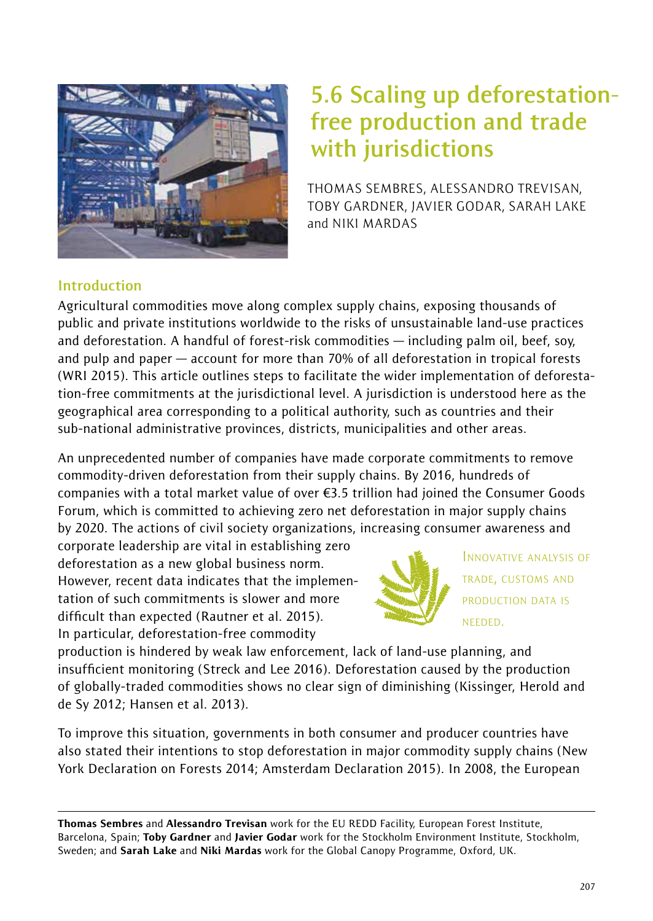

# **5.6 Scaling up deforestationfree production and trade with jurisdictions**

THOMAS SEMBRES, ALESSANDRO TREVISAN, TOBY GARDNER, JAVIER GODAR, SARAH LAKE and NIKI MARDAS

# **Introduction**

Agricultural commodities move along complex supply chains, exposing thousands of public and private institutions worldwide to the risks of unsustainable land-use practices and deforestation. A handful of forest-risk commodities — including palm oil, beef, soy, and pulp and paper — account for more than 70% of all deforestation in tropical forests (WRI 2015). This article outlines steps to facilitate the wider implementation of deforestation-free commitments at the jurisdictional level. A jurisdiction is understood here as the geographical area corresponding to a political authority, such as countries and their sub-national administrative provinces, districts, municipalities and other areas.

An unprecedented number of companies have made corporate commitments to remove commodity-driven deforestation from their supply chains. By 2016, hundreds of companies with a total market value of over €3.5 trillion had joined the Consumer Goods Forum, which is committed to achieving zero net deforestation in major supply chains by 2020. The actions of civil society organizations, increasing consumer awareness and

corporate leadership are vital in establishing zero deforestation as a new global business norm. However, recent data indicates that the implementation of such commitments is slower and more difficult than expected (Rautner et al. 2015). In particular, deforestation-free commodity



INNOVATIVE ANALYSIS OF TRADE, CUSTOMS AND PRODUCTION DATA IS NEEDED.

production is hindered by weak law enforcement, lack of land-use planning, and insufficient monitoring (Streck and Lee 2016). Deforestation caused by the production of globally-traded commodities shows no clear sign of diminishing (Kissinger, Herold and de Sy 2012; Hansen et al. 2013).

To improve this situation, governments in both consumer and producer countries have also stated their intentions to stop deforestation in major commodity supply chains (New York Declaration on Forests 2014; Amsterdam Declaration 2015). In 2008, the European

Thomas Sembres and Alessandro Trevisan work for the EU REDD Facility, European Forest Institute, Barcelona, Spain; Toby Gardner and Javier Godar work for the Stockholm Environment Institute, Stockholm, Sweden; and Sarah Lake and Niki Mardas work for the Global Canopy Programme, Oxford, UK.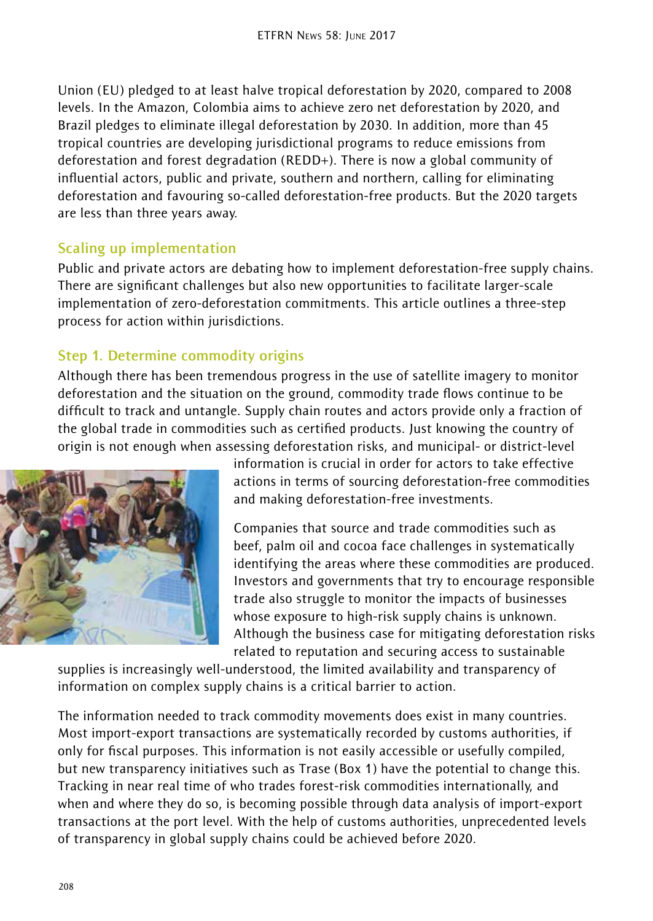Union (EU) pledged to at least halve tropical deforestation by 2020, compared to 2008 levels. In the Amazon, Colombia aims to achieve zero net deforestation by 2020, and Brazil pledges to eliminate illegal deforestation by 2030. In addition, more than 45 tropical countries are developing jurisdictional programs to reduce emissions from deforestation and forest degradation (REDD+). There is now a global community of influential actors, public and private, southern and northern, calling for eliminating deforestation and favouring so-called deforestation-free products. But the 2020 targets are less than three years away.

### **Scaling up implementation**

Public and private actors are debating how to implement deforestation-free supply chains. There are significant challenges but also new opportunities to facilitate larger-scale implementation of zero-deforestation commitments. This article outlines a three-step process for action within jurisdictions.

# **Step 1. Determine commodity origins**

Although there has been tremendous progress in the use of satellite imagery to monitor deforestation and the situation on the ground, commodity trade flows continue to be difficult to track and untangle. Supply chain routes and actors provide only a fraction of the global trade in commodities such as certified products. Just knowing the country of origin is not enough when assessing deforestation risks, and municipal- or district-level



information is crucial in order for actors to take effective actions in terms of sourcing deforestation-free commodities and making deforestation-free investments.

Companies that source and trade commodities such as beef, palm oil and cocoa face challenges in systematically identifying the areas where these commodities are produced. Investors and governments that try to encourage responsible trade also struggle to monitor the impacts of businesses whose exposure to high-risk supply chains is unknown. Although the business case for mitigating deforestation risks related to reputation and securing access to sustainable

supplies is increasingly well-understood, the limited availability and transparency of information on complex supply chains is a critical barrier to action.

The information needed to track commodity movements does exist in many countries. Most import-export transactions are systematically recorded by customs authorities, if only for fiscal purposes. This information is not easily accessible or usefully compiled, but new transparency initiatives such as Trase (Box 1) have the potential to change this. Tracking in near real time of who trades forest-risk commodities internationally, and when and where they do so, is becoming possible through data analysis of import-export transactions at the port level. With the help of customs authorities, unprecedented levels of transparency in global supply chains could be achieved before 2020.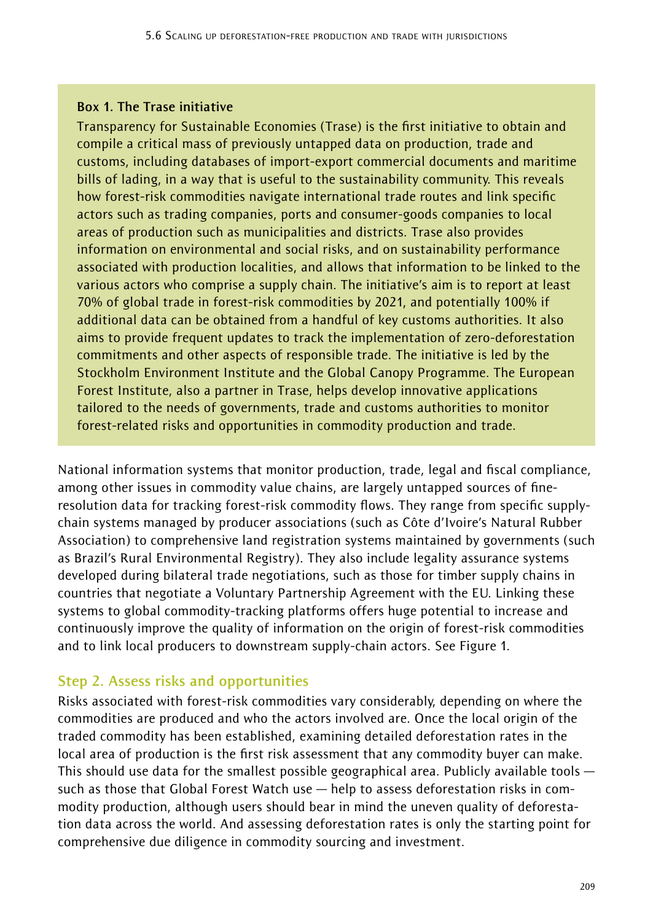#### **Box 1. The Trase initiative**

Transparency for Sustainable Economies (Trase) is the first initiative to obtain and compile a critical mass of previously untapped data on production, trade and customs, including databases of import-export commercial documents and maritime bills of lading, in a way that is useful to the sustainability community. This reveals how forest-risk commodities navigate international trade routes and link specific actors such as trading companies, ports and consumer-goods companies to local areas of production such as municipalities and districts. Trase also provides information on environmental and social risks, and on sustainability performance associated with production localities, and allows that information to be linked to the various actors who comprise a supply chain. The initiative's aim is to report at least 70% of global trade in forest-risk commodities by 2021, and potentially 100% if additional data can be obtained from a handful of key customs authorities. It also aims to provide frequent updates to track the implementation of zero-deforestation commitments and other aspects of responsible trade. The initiative is led by the Stockholm Environment Institute and the Global Canopy Programme. The European Forest Institute, also a partner in Trase, helps develop innovative applications tailored to the needs of governments, trade and customs authorities to monitor forest-related risks and opportunities in commodity production and trade.

National information systems that monitor production, trade, legal and fiscal compliance, among other issues in commodity value chains, are largely untapped sources of fineresolution data for tracking forest-risk commodity flows. They range from specific supplychain systems managed by producer associations (such as Côte d'Ivoire's Natural Rubber Association) to comprehensive land registration systems maintained by governments (such as Brazil's Rural Environmental Registry). They also include legality assurance systems developed during bilateral trade negotiations, such as those for timber supply chains in countries that negotiate a Voluntary Partnership Agreement with the EU. Linking these systems to global commodity-tracking platforms offers huge potential to increase and continuously improve the quality of information on the origin of forest-risk commodities and to link local producers to downstream supply-chain actors. See Figure 1.

# **Step 2. Assess risks and opportunities**

Risks associated with forest-risk commodities vary considerably, depending on where the commodities are produced and who the actors involved are. Once the local origin of the traded commodity has been established, examining detailed deforestation rates in the local area of production is the first risk assessment that any commodity buyer can make. This should use data for the smallest possible geographical area. Publicly available tools such as those that Global Forest Watch use — help to assess deforestation risks in commodity production, although users should bear in mind the uneven quality of deforestation data across the world. And assessing deforestation rates is only the starting point for comprehensive due diligence in commodity sourcing and investment.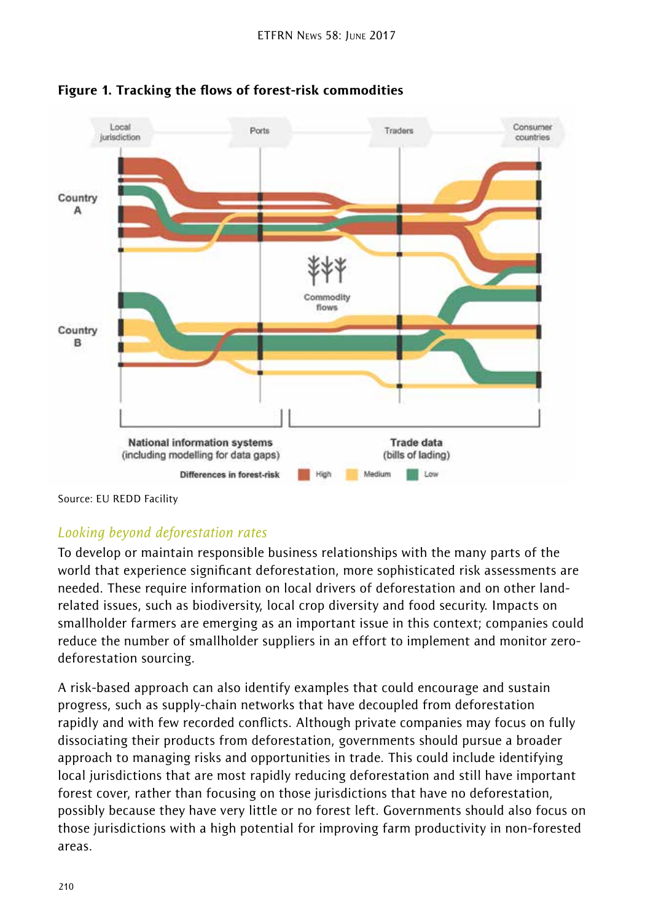



Source: EU REDD Facility

# *Looking beyond deforestation rates*

To develop or maintain responsible business relationships with the many parts of the world that experience significant deforestation, more sophisticated risk assessments are needed. These require information on local drivers of deforestation and on other landrelated issues, such as biodiversity, local crop diversity and food security. Impacts on smallholder farmers are emerging as an important issue in this context; companies could reduce the number of smallholder suppliers in an effort to implement and monitor zerodeforestation sourcing.

A risk-based approach can also identify examples that could encourage and sustain progress, such as supply-chain networks that have decoupled from deforestation rapidly and with few recorded conflicts. Although private companies may focus on fully dissociating their products from deforestation, governments should pursue a broader approach to managing risks and opportunities in trade. This could include identifying local jurisdictions that are most rapidly reducing deforestation and still have important forest cover, rather than focusing on those jurisdictions that have no deforestation, possibly because they have very little or no forest left. Governments should also focus on those jurisdictions with a high potential for improving farm productivity in non-forested areas.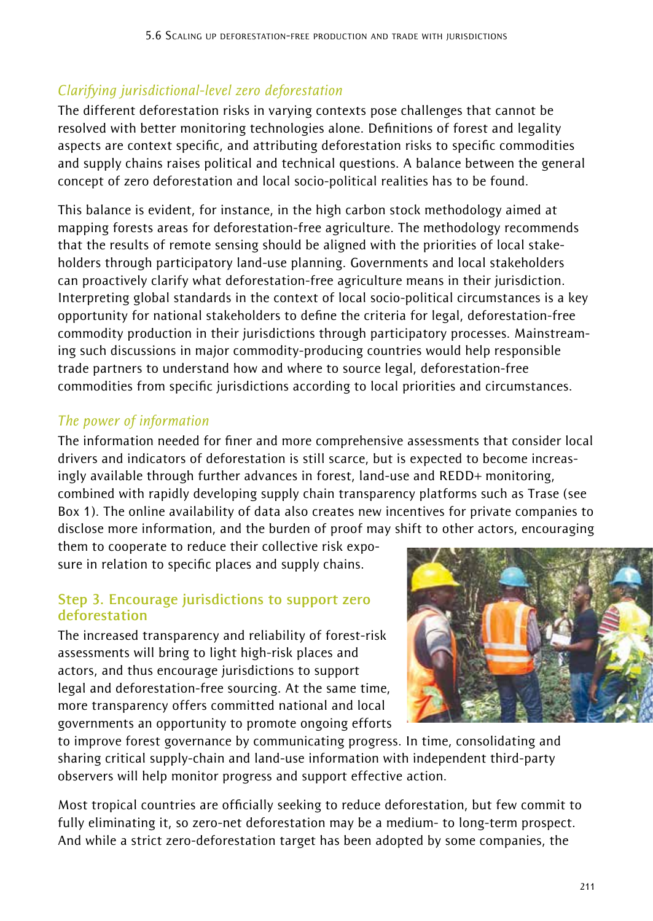# *Clarifying jurisdictional-level zero deforestation*

The different deforestation risks in varying contexts pose challenges that cannot be resolved with better monitoring technologies alone. Definitions of forest and legality aspects are context specific, and attributing deforestation risks to specific commodities and supply chains raises political and technical questions. A balance between the general concept of zero deforestation and local socio-political realities has to be found.

This balance is evident, for instance, in the high carbon stock methodology aimed at mapping forests areas for deforestation-free agriculture. The methodology recommends that the results of remote sensing should be aligned with the priorities of local stakeholders through participatory land-use planning. Governments and local stakeholders can proactively clarify what deforestation-free agriculture means in their jurisdiction. Interpreting global standards in the context of local socio-political circumstances is a key opportunity for national stakeholders to define the criteria for legal, deforestation-free commodity production in their jurisdictions through participatory processes. Mainstreaming such discussions in major commodity-producing countries would help responsible trade partners to understand how and where to source legal, deforestation-free commodities from specific jurisdictions according to local priorities and circumstances.

# *The power of information*

The information needed for finer and more comprehensive assessments that consider local drivers and indicators of deforestation is still scarce, but is expected to become increasingly available through further advances in forest, land-use and REDD+ monitoring, combined with rapidly developing supply chain transparency platforms such as Trase (see Box 1). The online availability of data also creates new incentives for private companies to disclose more information, and the burden of proof may shift to other actors, encouraging

them to cooperate to reduce their collective risk exposure in relation to specific places and supply chains.

#### **Step 3. Encourage jurisdictions to support zero deforestation**

The increased transparency and reliability of forest-risk assessments will bring to light high-risk places and actors, and thus encourage jurisdictions to support legal and deforestation-free sourcing. At the same time, more transparency offers committed national and local governments an opportunity to promote ongoing efforts



to improve forest governance by communicating progress. In time, consolidating and sharing critical supply-chain and land-use information with independent third-party observers will help monitor progress and support effective action.

Most tropical countries are officially seeking to reduce deforestation, but few commit to fully eliminating it, so zero-net deforestation may be a medium- to long-term prospect. And while a strict zero-deforestation target has been adopted by some companies, the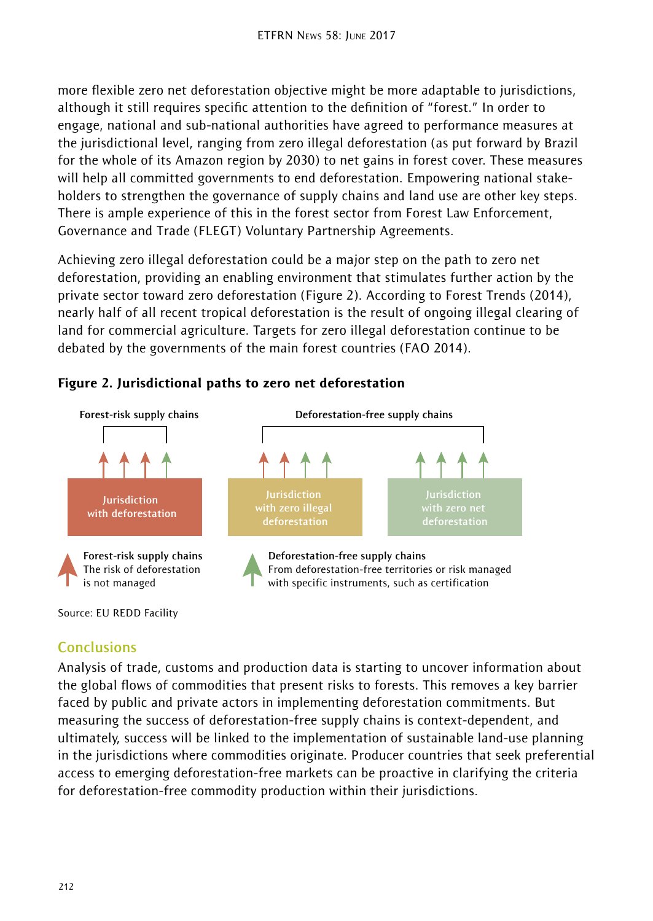more flexible zero net deforestation objective might be more adaptable to jurisdictions, although it still requires specific attention to the definition of "forest." In order to engage, national and sub-national authorities have agreed to performance measures at the jurisdictional level, ranging from zero illegal deforestation (as put forward by Brazil for the whole of its Amazon region by 2030) to net gains in forest cover. These measures will help all committed governments to end deforestation. Empowering national stakeholders to strengthen the governance of supply chains and land use are other key steps. There is ample experience of this in the forest sector from Forest Law Enforcement, Governance and Trade (FLEGT) Voluntary Partnership Agreements.

Achieving zero illegal deforestation could be a major step on the path to zero net deforestation, providing an enabling environment that stimulates further action by the private sector toward zero deforestation (Figure 2). According to Forest Trends (2014), nearly half of all recent tropical deforestation is the result of ongoing illegal clearing of land for commercial agriculture. Targets for zero illegal deforestation continue to be debated by the governments of the main forest countries (FAO 2014).



### Figure 2. Jurisdictional paths to zero net deforestation

Source: EU REDD Facility

# **Conclusions**

Analysis of trade, customs and production data is starting to uncover information about the global flows of commodities that present risks to forests. This removes a key barrier faced by public and private actors in implementing deforestation commitments. But measuring the success of deforestation-free supply chains is context-dependent, and ultimately, success will be linked to the implementation of sustainable land-use planning in the jurisdictions where commodities originate. Producer countries that seek preferential access to emerging deforestation-free markets can be proactive in clarifying the criteria for deforestation-free commodity production within their jurisdictions.